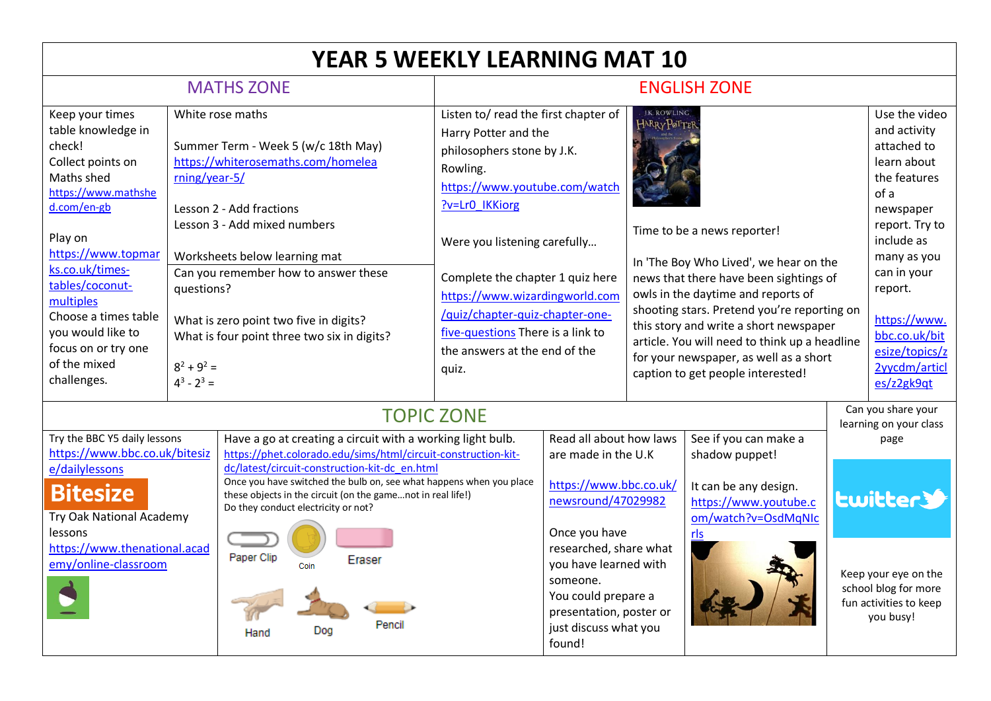| <b>YEAR 5 WEEKLY LEARNING MAT 10</b>                                                                                                                                                                                                                                                                            |                                                               |                                                                                                                                                                                                                                                                                                                                                                                                                                 |                                                                                                                                                                                                                                                                                                                                                                                   |                                                                                                                                                                                                                                                                     |                                                                                                                                                                                                                                                                                                                                                                                                                                                                                                   |                                                                                                                         |  |                                                                                                                                                                                                                                                             |
|-----------------------------------------------------------------------------------------------------------------------------------------------------------------------------------------------------------------------------------------------------------------------------------------------------------------|---------------------------------------------------------------|---------------------------------------------------------------------------------------------------------------------------------------------------------------------------------------------------------------------------------------------------------------------------------------------------------------------------------------------------------------------------------------------------------------------------------|-----------------------------------------------------------------------------------------------------------------------------------------------------------------------------------------------------------------------------------------------------------------------------------------------------------------------------------------------------------------------------------|---------------------------------------------------------------------------------------------------------------------------------------------------------------------------------------------------------------------------------------------------------------------|---------------------------------------------------------------------------------------------------------------------------------------------------------------------------------------------------------------------------------------------------------------------------------------------------------------------------------------------------------------------------------------------------------------------------------------------------------------------------------------------------|-------------------------------------------------------------------------------------------------------------------------|--|-------------------------------------------------------------------------------------------------------------------------------------------------------------------------------------------------------------------------------------------------------------|
| <b>MATHS ZONE</b>                                                                                                                                                                                                                                                                                               |                                                               |                                                                                                                                                                                                                                                                                                                                                                                                                                 | <b>ENGLISH ZONE</b>                                                                                                                                                                                                                                                                                                                                                               |                                                                                                                                                                                                                                                                     |                                                                                                                                                                                                                                                                                                                                                                                                                                                                                                   |                                                                                                                         |  |                                                                                                                                                                                                                                                             |
| Keep your times<br>table knowledge in<br>check!<br>Collect points on<br>Maths shed<br>https://www.mathshe<br>d.com/en-gb<br>Play on<br>https://www.topmar<br>ks.co.uk/times-<br>tables/coconut-<br>multiples<br>Choose a times table<br>you would like to<br>focus on or try one<br>of the mixed<br>challenges. | rning/year-5/<br>questions?<br>$8^2 + 9^2 =$<br>$4^3 - 2^3 =$ | White rose maths<br>Summer Term - Week 5 (w/c 18th May)<br>https://whiterosemaths.com/homelea<br>Lesson 2 - Add fractions<br>Lesson 3 - Add mixed numbers<br>Worksheets below learning mat<br>Can you remember how to answer these<br>What is zero point two five in digits?<br>What is four point three two six in digits?                                                                                                     | Listen to/ read the first chapter of<br>Harry Potter and the<br>philosophers stone by J.K.<br>Rowling.<br>https://www.youtube.com/watch<br>?v=Lr0 IKKiorg<br>Were you listening carefully<br>Complete the chapter 1 quiz here<br>https://www.wizardingworld.com<br>/quiz/chapter-quiz-chapter-one-<br>five-questions There is a link to<br>the answers at the end of the<br>quiz. |                                                                                                                                                                                                                                                                     | <b>I.K. ROWLING</b><br>$\mathsf{H}^\mathtt{ARRY}\mathsf{P}\!{\varphi}^\mathtt{T}\mathsf{T}\mathsf{E}\mathsf{F}$<br>Time to be a news reporter!<br>In 'The Boy Who Lived', we hear on the<br>news that there have been sightings of<br>owls in the daytime and reports of<br>shooting stars. Pretend you're reporting on<br>this story and write a short newspaper<br>article. You will need to think up a headline<br>for your newspaper, as well as a short<br>caption to get people interested! |                                                                                                                         |  | Use the video<br>and activity<br>attached to<br>learn about<br>the features<br>of a<br>newspaper<br>report. Try to<br>include as<br>many as you<br>can in your<br>report.<br>https://www.<br>bbc.co.uk/bit<br>esize/topics/z<br>2yycdm/articl<br>es/z2gk9qt |
| Try the BBC Y5 daily lessons<br>https://www.bbc.co.uk/bitesiz<br>e/dailylessons<br><b>Bitesize</b><br>Try Oak National Academy<br>lessons<br>https://www.thenational.acad<br>emy/online-classroom                                                                                                               |                                                               | <b>TOPIC ZONE</b><br>Have a go at creating a circuit with a working light bulb.<br>https://phet.colorado.edu/sims/html/circuit-construction-kit-<br>dc/latest/circuit-construction-kit-dc en.html<br>Once you have switched the bulb on, see what happens when you place<br>these objects in the circuit (on the gamenot in real life!)<br>Do they conduct electricity or not?<br>Paper Clip<br>Eraser<br>Pencil<br>Dog<br>Hand |                                                                                                                                                                                                                                                                                                                                                                                   | Read all about how laws<br>are made in the U.K<br>https://www.bbc.co.uk/<br>newsround/47029982<br>Once you have<br>researched, share what<br>you have learned with<br>someone.<br>You could prepare a<br>presentation, poster or<br>just discuss what you<br>found! |                                                                                                                                                                                                                                                                                                                                                                                                                                                                                                   | See if you can make a<br>shadow puppet!<br>It can be any design.<br>https://www.youtube.c<br>om/watch?v=OsdMqNIc<br>rls |  | Can you share your<br>learning on your class<br>page<br>twitter<br>Keep your eye on the<br>school blog for more<br>fun activities to keep<br>you busy!                                                                                                      |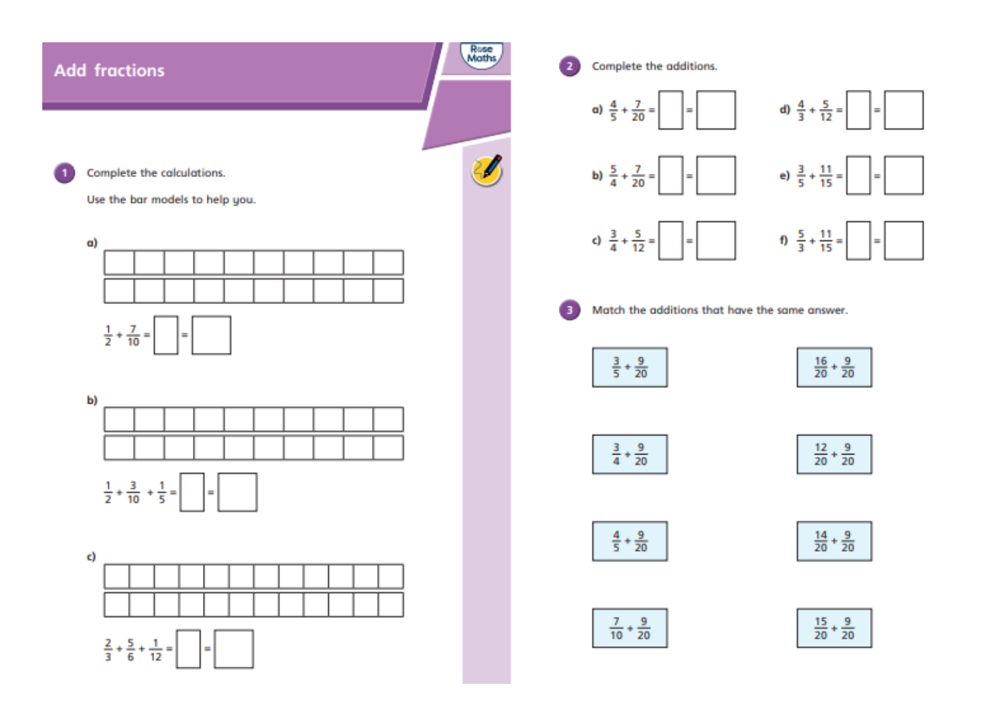## **Add fractions**

 $\blacksquare$ 



 $\mathbf{z}$ 

-31

Complete the additions.

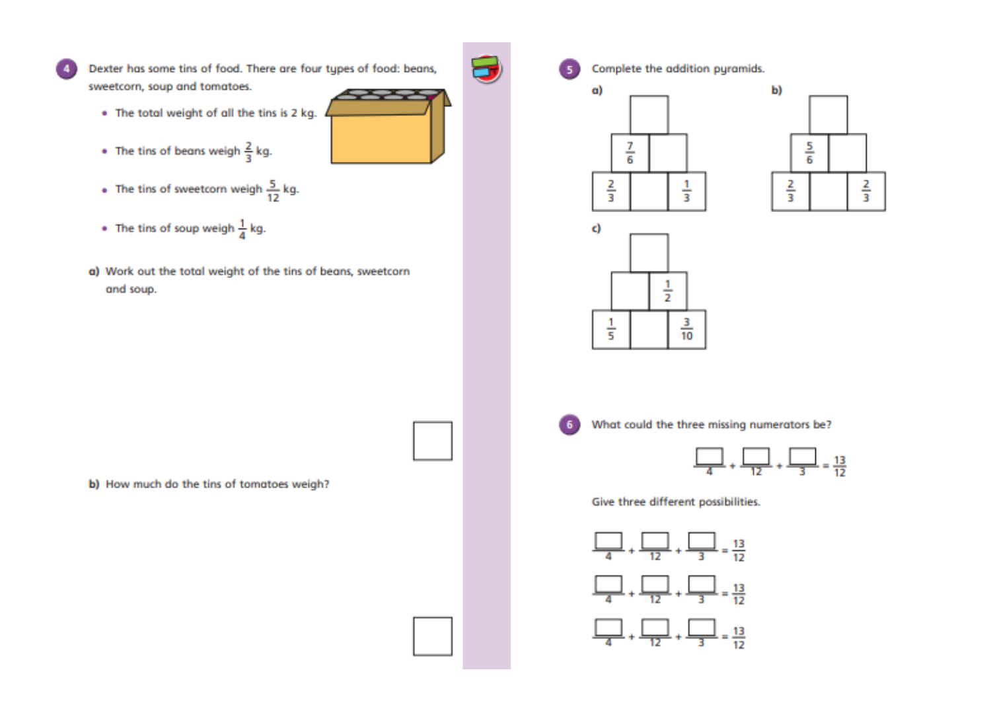

Dexter has some tins of food. There are four types of food: beans, sweetcorn, soup and tomatoes.

- . The total weight of all the tins is 2 kg.
- The tins of beans weigh  $\frac{2}{3}$  kg.
- The tins of sweetcorn weigh  $\frac{5}{12}$  kg.
- The tins of soup weigh  $\frac{1}{4}$  kg.
- a) Work out the total weight of the tins of beans, sweetcorn and soup.



Complete the addition pyramids.









-5

What could the three missing numerators be?



Give three different possibilities.



b) How much do the tins of tomatoes weigh?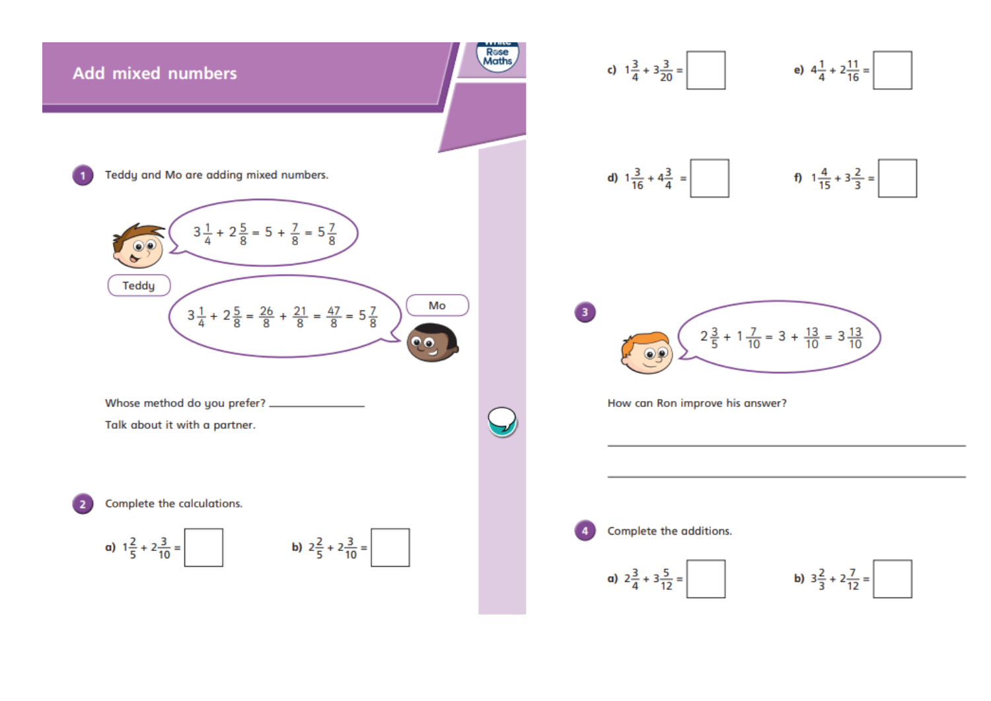